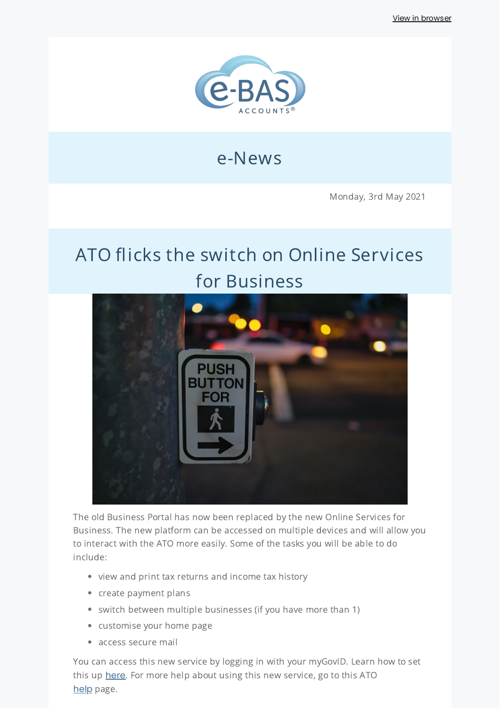

e-News

Monday, 3rd May 2021

# ATO flicks the switch on Online Services for [Business](https://www.ato.gov.au/Media-centre/Media-releases/ATO-flicks-the-switch-on-Online-services-for-business/)



The old Business Portal has now been replaced by the new Online Services for Business. The new platform can be accessed on multiple devices and will allow you to interact with the ATO more easily. Some of the tasks you will be able to do include:

- view and print tax returns and income tax history
- create payment plans
- switch between multiple businesses (if you have more than 1)
- customise your home page
- access secure mail

You can access this new service by logging in with your myGovID. Learn how to set this up [here](https://www.ato.gov.au/Business/Bus/Set-up-your-access-to-Online-services-for-business/). For more help about using this new service, go to this ATO [help](https://www.ato.gov.au/General/Online-services/Businesses/) page.